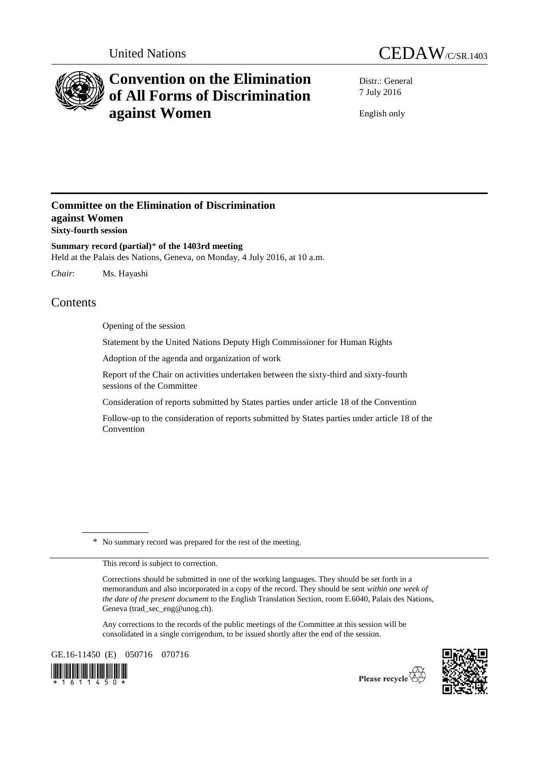



# **Convention on the Elimination of All Forms of Discrimination against Women**

Distr.: General 7 July 2016

English only

## **Committee on the Elimination of Discrimination against Women Sixty-fourth session**

**Summary record (partial)**\* **of the 1403rd meeting** Held at the Palais des Nations, Geneva, on Monday, 4 July 2016, at 10 a.m.

*Chair*: Ms. Hayashi

## Contents

Opening of the session

Statement by the United Nations Deputy High Commissioner for Human Rights

Adoption of the agenda and organization of work

Report of the Chair on activities undertaken between the sixty-third and sixty-fourth sessions of the Committee

Consideration of reports submitted by States parties under article 18 of the Convention

Follow-up to the consideration of reports submitted by States parties under article 18 of the Convention

\* No summary record was prepared for the rest of the meeting.

This record is subject to correction.

Corrections should be submitted in one of the working languages. They should be set forth in a memorandum and also incorporated in a copy of the record. They should be sent *within one week of the date of the present document* to the English Translation Section, room E.6040, Palais des Nations, Geneva (trad\_sec\_eng@unog.ch).

Any corrections to the records of the public meetings of the Committee at this session will be consolidated in a single corrigendum, to be issued shortly after the end of the session.

GE.16-11450 (E) 050716 070716





Please recycle  $\overleftrightarrow{G}$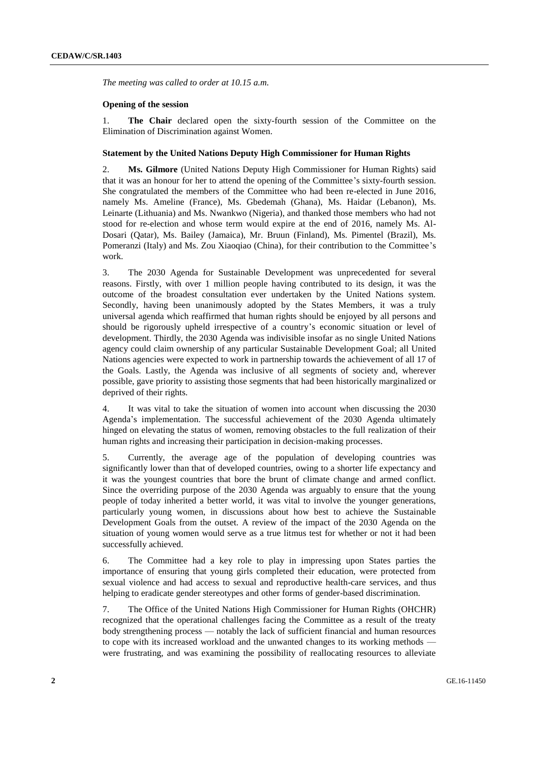*The meeting was called to order at 10.15 a.m.* 

#### **Opening of the session**

1. **The Chair** declared open the sixty-fourth session of the Committee on the Elimination of Discrimination against Women.

#### **Statement by the United Nations Deputy High Commissioner for Human Rights**

2. **Ms. Gilmore** (United Nations Deputy High Commissioner for Human Rights) said that it was an honour for her to attend the opening of the Committee's sixty-fourth session. She congratulated the members of the Committee who had been re-elected in June 2016, namely Ms. Ameline (France), Ms. Gbedemah (Ghana), Ms. Haidar (Lebanon), Ms. Leinarte (Lithuania) and Ms. Nwankwo (Nigeria), and thanked those members who had not stood for re-election and whose term would expire at the end of 2016, namely Ms. Al-Dosari (Qatar), Ms. Bailey (Jamaica), Mr. Bruun (Finland), Ms. Pimentel (Brazil), Ms. Pomeranzi (Italy) and Ms. Zou Xiaoqiao (China), for their contribution to the Committee's work.

3. The 2030 Agenda for Sustainable Development was unprecedented for several reasons. Firstly, with over 1 million people having contributed to its design, it was the outcome of the broadest consultation ever undertaken by the United Nations system. Secondly, having been unanimously adopted by the States Members, it was a truly universal agenda which reaffirmed that human rights should be enjoyed by all persons and should be rigorously upheld irrespective of a country's economic situation or level of development. Thirdly, the 2030 Agenda was indivisible insofar as no single United Nations agency could claim ownership of any particular Sustainable Development Goal; all United Nations agencies were expected to work in partnership towards the achievement of all 17 of the Goals. Lastly, the Agenda was inclusive of all segments of society and, wherever possible, gave priority to assisting those segments that had been historically marginalized or deprived of their rights.

4. It was vital to take the situation of women into account when discussing the 2030 Agenda's implementation. The successful achievement of the 2030 Agenda ultimately hinged on elevating the status of women, removing obstacles to the full realization of their human rights and increasing their participation in decision-making processes.

5. Currently, the average age of the population of developing countries was significantly lower than that of developed countries, owing to a shorter life expectancy and it was the youngest countries that bore the brunt of climate change and armed conflict. Since the overriding purpose of the 2030 Agenda was arguably to ensure that the young people of today inherited a better world, it was vital to involve the younger generations, particularly young women, in discussions about how best to achieve the Sustainable Development Goals from the outset. A review of the impact of the 2030 Agenda on the situation of young women would serve as a true litmus test for whether or not it had been successfully achieved.

6. The Committee had a key role to play in impressing upon States parties the importance of ensuring that young girls completed their education, were protected from sexual violence and had access to sexual and reproductive health-care services, and thus helping to eradicate gender stereotypes and other forms of gender-based discrimination.

7. The Office of the United Nations High Commissioner for Human Rights (OHCHR) recognized that the operational challenges facing the Committee as a result of the treaty body strengthening process — notably the lack of sufficient financial and human resources to cope with its increased workload and the unwanted changes to its working methods were frustrating, and was examining the possibility of reallocating resources to alleviate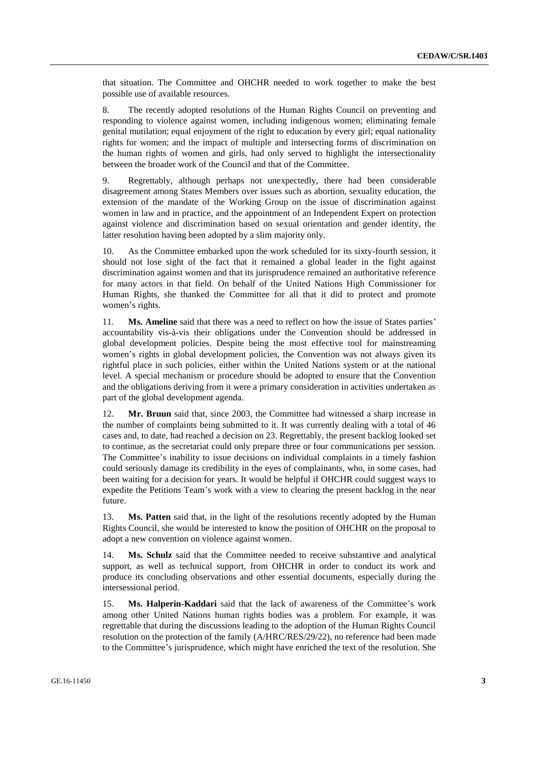that situation. The Committee and OHCHR needed to work together to make the best possible use of available resources.

8. The recently adopted resolutions of the Human Rights Council on preventing and responding to violence against women, including indigenous women; eliminating female genital mutilation; equal enjoyment of the right to education by every girl; equal nationality rights for women; and the impact of multiple and intersecting forms of discrimination on the human rights of women and girls, had only served to highlight the intersectionality between the broader work of the Council and that of the Committee.

9. Regrettably, although perhaps not unexpectedly, there had been considerable disagreement among States Members over issues such as abortion, sexuality education, the extension of the mandate of the Working Group on the issue of discrimination against women in law and in practice, and the appointment of an Independent Expert on protection against violence and discrimination based on sexual orientation and gender identity, the latter resolution having been adopted by a slim majority only.

10. As the Committee embarked upon the work scheduled for its sixty-fourth session, it should not lose sight of the fact that it remained a global leader in the fight against discrimination against women and that its jurisprudence remained an authoritative reference for many actors in that field. On behalf of the United Nations High Commissioner for Human Rights, she thanked the Committee for all that it did to protect and promote women's rights.

11. **Ms. Ameline** said that there was a need to reflect on how the issue of States parties' accountability vis-à-vis their obligations under the Convention should be addressed in global development policies. Despite being the most effective tool for mainstreaming women's rights in global development policies, the Convention was not always given its rightful place in such policies, either within the United Nations system or at the national level. A special mechanism or procedure should be adopted to ensure that the Convention and the obligations deriving from it were a primary consideration in activities undertaken as part of the global development agenda.

12. **Mr. Bruun** said that, since 2003, the Committee had witnessed a sharp increase in the number of complaints being submitted to it. It was currently dealing with a total of 46 cases and, to date, had reached a decision on 23. Regrettably, the present backlog looked set to continue, as the secretariat could only prepare three or four communications per session. The Committee's inability to issue decisions on individual complaints in a timely fashion could seriously damage its credibility in the eyes of complainants, who, in some cases, had been waiting for a decision for years. It would be helpful if OHCHR could suggest ways to expedite the Petitions Team's work with a view to clearing the present backlog in the near future.

13. **Ms. Patten** said that, in the light of the resolutions recently adopted by the Human Rights Council, she would be interested to know the position of OHCHR on the proposal to adopt a new convention on violence against women.

14. **Ms. Schulz** said that the Committee needed to receive substantive and analytical support, as well as technical support, from OHCHR in order to conduct its work and produce its concluding observations and other essential documents, especially during the intersessional period.

15. **Ms. Halperin-Kaddari** said that the lack of awareness of the Committee's work among other United Nations human rights bodies was a problem. For example, it was regrettable that during the discussions leading to the adoption of the Human Rights Council resolution on the protection of the family (A/HRC/RES/29/22), no reference had been made to the Committee's jurisprudence, which might have enriched the text of the resolution. She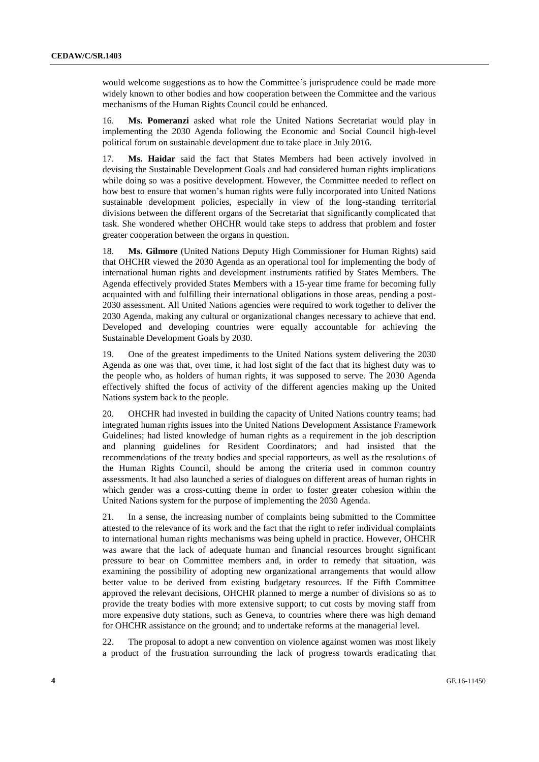would welcome suggestions as to how the Committee's jurisprudence could be made more widely known to other bodies and how cooperation between the Committee and the various mechanisms of the Human Rights Council could be enhanced.

16. **Ms. Pomeranzi** asked what role the United Nations Secretariat would play in implementing the 2030 Agenda following the Economic and Social Council high-level political forum on sustainable development due to take place in July 2016.

17. **Ms. Haidar** said the fact that States Members had been actively involved in devising the Sustainable Development Goals and had considered human rights implications while doing so was a positive development. However, the Committee needed to reflect on how best to ensure that women's human rights were fully incorporated into United Nations sustainable development policies, especially in view of the long-standing territorial divisions between the different organs of the Secretariat that significantly complicated that task. She wondered whether OHCHR would take steps to address that problem and foster greater cooperation between the organs in question.

18. **Ms. Gilmore** (United Nations Deputy High Commissioner for Human Rights) said that OHCHR viewed the 2030 Agenda as an operational tool for implementing the body of international human rights and development instruments ratified by States Members. The Agenda effectively provided States Members with a 15-year time frame for becoming fully acquainted with and fulfilling their international obligations in those areas, pending a post-2030 assessment. All United Nations agencies were required to work together to deliver the 2030 Agenda, making any cultural or organizational changes necessary to achieve that end. Developed and developing countries were equally accountable for achieving the Sustainable Development Goals by 2030.

19. One of the greatest impediments to the United Nations system delivering the 2030 Agenda as one was that, over time, it had lost sight of the fact that its highest duty was to the people who, as holders of human rights, it was supposed to serve. The 2030 Agenda effectively shifted the focus of activity of the different agencies making up the United Nations system back to the people.

20. OHCHR had invested in building the capacity of United Nations country teams; had integrated human rights issues into the United Nations Development Assistance Framework Guidelines; had listed knowledge of human rights as a requirement in the job description and planning guidelines for Resident Coordinators; and had insisted that the recommendations of the treaty bodies and special rapporteurs, as well as the resolutions of the Human Rights Council, should be among the criteria used in common country assessments. It had also launched a series of dialogues on different areas of human rights in which gender was a cross-cutting theme in order to foster greater cohesion within the United Nations system for the purpose of implementing the 2030 Agenda.

21. In a sense, the increasing number of complaints being submitted to the Committee attested to the relevance of its work and the fact that the right to refer individual complaints to international human rights mechanisms was being upheld in practice. However, OHCHR was aware that the lack of adequate human and financial resources brought significant pressure to bear on Committee members and, in order to remedy that situation, was examining the possibility of adopting new organizational arrangements that would allow better value to be derived from existing budgetary resources. If the Fifth Committee approved the relevant decisions, OHCHR planned to merge a number of divisions so as to provide the treaty bodies with more extensive support; to cut costs by moving staff from more expensive duty stations, such as Geneva, to countries where there was high demand for OHCHR assistance on the ground; and to undertake reforms at the managerial level.

22. The proposal to adopt a new convention on violence against women was most likely a product of the frustration surrounding the lack of progress towards eradicating that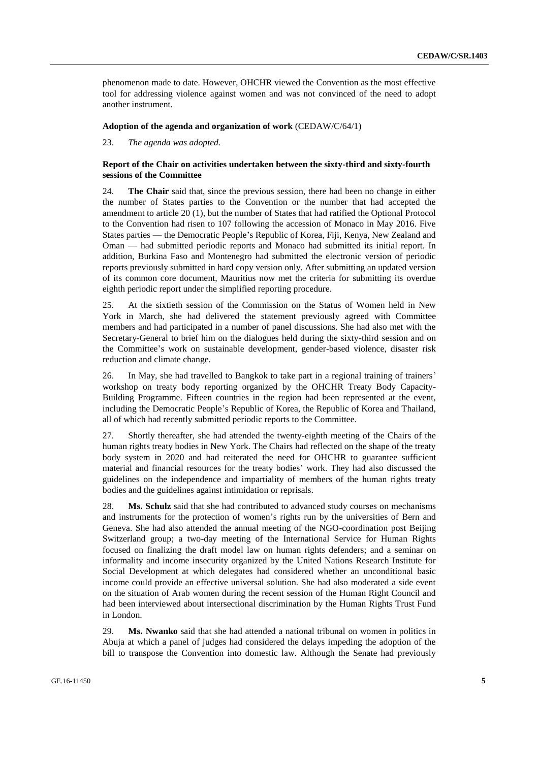phenomenon made to date. However, OHCHR viewed the Convention as the most effective tool for addressing violence against women and was not convinced of the need to adopt another instrument.

#### **Adoption of the agenda and organization of work** (CEDAW/C/64/1)

23. *The agenda was adopted.*

#### **Report of the Chair on activities undertaken between the sixty-third and sixty-fourth sessions of the Committee**

24. **The Chair** said that, since the previous session, there had been no change in either the number of States parties to the Convention or the number that had accepted the amendment to article 20 (1), but the number of States that had ratified the Optional Protocol to the Convention had risen to 107 following the accession of Monaco in May 2016. Five States parties — the Democratic People's Republic of Korea, Fiji, Kenya, New Zealand and Oman — had submitted periodic reports and Monaco had submitted its initial report. In addition, Burkina Faso and Montenegro had submitted the electronic version of periodic reports previously submitted in hard copy version only. After submitting an updated version of its common core document, Mauritius now met the criteria for submitting its overdue eighth periodic report under the simplified reporting procedure.

25. At the sixtieth session of the Commission on the Status of Women held in New York in March, she had delivered the statement previously agreed with Committee members and had participated in a number of panel discussions. She had also met with the Secretary-General to brief him on the dialogues held during the sixty-third session and on the Committee's work on sustainable development, gender-based violence, disaster risk reduction and climate change.

26. In May, she had travelled to Bangkok to take part in a regional training of trainers' workshop on treaty body reporting organized by the OHCHR Treaty Body Capacity-Building Programme. Fifteen countries in the region had been represented at the event, including the Democratic People's Republic of Korea, the Republic of Korea and Thailand, all of which had recently submitted periodic reports to the Committee.

27. Shortly thereafter, she had attended the twenty-eighth meeting of the Chairs of the human rights treaty bodies in New York. The Chairs had reflected on the shape of the treaty body system in 2020 and had reiterated the need for OHCHR to guarantee sufficient material and financial resources for the treaty bodies' work. They had also discussed the guidelines on the independence and impartiality of members of the human rights treaty bodies and the guidelines against intimidation or reprisals.

28. **Ms. Schulz** said that she had contributed to advanced study courses on mechanisms and instruments for the protection of women's rights run by the universities of Bern and Geneva. She had also attended the annual meeting of the NGO-coordination post Beijing Switzerland group; a two-day meeting of the International Service for Human Rights focused on finalizing the draft model law on human rights defenders; and a seminar on informality and income insecurity organized by the United Nations Research Institute for Social Development at which delegates had considered whether an unconditional basic income could provide an effective universal solution. She had also moderated a side event on the situation of Arab women during the recent session of the Human Right Council and had been interviewed about intersectional discrimination by the Human Rights Trust Fund in London.

29. **Ms. Nwanko** said that she had attended a national tribunal on women in politics in Abuja at which a panel of judges had considered the delays impeding the adoption of the bill to transpose the Convention into domestic law. Although the Senate had previously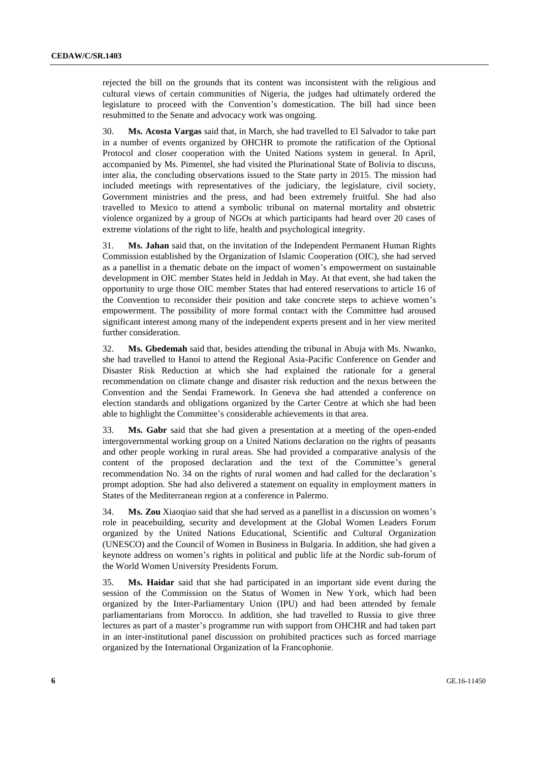rejected the bill on the grounds that its content was inconsistent with the religious and cultural views of certain communities of Nigeria, the judges had ultimately ordered the legislature to proceed with the Convention's domestication. The bill had since been resubmitted to the Senate and advocacy work was ongoing.

30. **Ms. Acosta Vargas** said that, in March, she had travelled to El Salvador to take part in a number of events organized by OHCHR to promote the ratification of the Optional Protocol and closer cooperation with the United Nations system in general. In April, accompanied by Ms. Pimentel, she had visited the Plurinational State of Bolivia to discuss, inter alia, the concluding observations issued to the State party in 2015. The mission had included meetings with representatives of the judiciary, the legislature, civil society, Government ministries and the press, and had been extremely fruitful. She had also travelled to Mexico to attend a symbolic tribunal on maternal mortality and obstetric violence organized by a group of NGOs at which participants had heard over 20 cases of extreme violations of the right to life, health and psychological integrity.

31. **Ms. Jahan** said that, on the invitation of the Independent Permanent Human Rights Commission established by the Organization of Islamic Cooperation (OIC), she had served as a panellist in a thematic debate on the impact of women's empowerment on sustainable development in OIC member States held in Jeddah in May. At that event, she had taken the opportunity to urge those OIC member States that had entered reservations to article 16 of the Convention to reconsider their position and take concrete steps to achieve women's empowerment. The possibility of more formal contact with the Committee had aroused significant interest among many of the independent experts present and in her view merited further consideration.

32. **Ms. Gbedemah** said that, besides attending the tribunal in Abuja with Ms. Nwanko, she had travelled to Hanoi to attend the Regional Asia-Pacific Conference on Gender and Disaster Risk Reduction at which she had explained the rationale for a general recommendation on climate change and disaster risk reduction and the nexus between the Convention and the Sendai Framework. In Geneva she had attended a conference on election standards and obligations organized by the Carter Centre at which she had been able to highlight the Committee's considerable achievements in that area.

33. **Ms. Gabr** said that she had given a presentation at a meeting of the open-ended intergovernmental working group on a United Nations declaration on the rights of peasants and other people working in rural areas. She had provided a comparative analysis of the content of the proposed declaration and the text of the Committee's general recommendation No. 34 on the rights of rural women and had called for the declaration's prompt adoption. She had also delivered a statement on equality in employment matters in States of the Mediterranean region at a conference in Palermo.

34. **Ms. Zou** Xiaoqiao said that she had served as a panellist in a discussion on women's role in peacebuilding, security and development at the Global Women Leaders Forum organized by the United Nations Educational, Scientific and Cultural Organization (UNESCO) and the Council of Women in Business in Bulgaria. In addition, she had given a keynote address on women's rights in political and public life at the Nordic sub-forum of the World Women University Presidents Forum.

35. **Ms. Haidar** said that she had participated in an important side event during the session of the Commission on the Status of Women in New York, which had been organized by the Inter-Parliamentary Union (IPU) and had been attended by female parliamentarians from Morocco. In addition, she had travelled to Russia to give three lectures as part of a master's programme run with support from OHCHR and had taken part in an inter-institutional panel discussion on prohibited practices such as forced marriage organized by the International Organization of la Francophonie.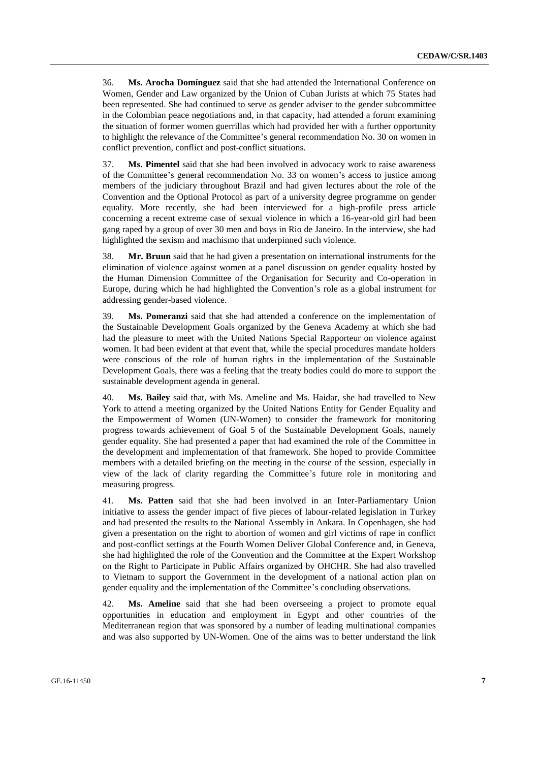36. **Ms. Arocha Domínguez** said that she had attended the International Conference on Women, Gender and Law organized by the Union of Cuban Jurists at which 75 States had been represented. She had continued to serve as gender adviser to the gender subcommittee in the Colombian peace negotiations and, in that capacity, had attended a forum examining the situation of former women guerrillas which had provided her with a further opportunity to highlight the relevance of the Committee's general recommendation No. 30 on women in conflict prevention, conflict and post-conflict situations.

37. **Ms. Pimentel** said that she had been involved in advocacy work to raise awareness of the Committee's general recommendation No. 33 on women's access to justice among members of the judiciary throughout Brazil and had given lectures about the role of the Convention and the Optional Protocol as part of a university degree programme on gender equality. More recently, she had been interviewed for a high-profile press article concerning a recent extreme case of sexual violence in which a 16-year-old girl had been gang raped by a group of over 30 men and boys in Rio de Janeiro. In the interview, she had highlighted the sexism and machismo that underpinned such violence.

38. **Mr. Bruun** said that he had given a presentation on international instruments for the elimination of violence against women at a panel discussion on gender equality hosted by the Human Dimension Committee of the Organisation for Security and Co-operation in Europe, during which he had highlighted the Convention's role as a global instrument for addressing gender-based violence.

39. **Ms. Pomeranzi** said that she had attended a conference on the implementation of the Sustainable Development Goals organized by the Geneva Academy at which she had had the pleasure to meet with the United Nations Special Rapporteur on violence against women. It had been evident at that event that, while the special procedures mandate holders were conscious of the role of human rights in the implementation of the Sustainable Development Goals, there was a feeling that the treaty bodies could do more to support the sustainable development agenda in general.

40. **Ms. Bailey** said that, with Ms. Ameline and Ms. Haidar, she had travelled to New York to attend a meeting organized by the United Nations Entity for Gender Equality and the Empowerment of Women (UN-Women) to consider the framework for monitoring progress towards achievement of Goal 5 of the Sustainable Development Goals, namely gender equality. She had presented a paper that had examined the role of the Committee in the development and implementation of that framework. She hoped to provide Committee members with a detailed briefing on the meeting in the course of the session, especially in view of the lack of clarity regarding the Committee's future role in monitoring and measuring progress.

41. **Ms. Patten** said that she had been involved in an Inter-Parliamentary Union initiative to assess the gender impact of five pieces of labour-related legislation in Turkey and had presented the results to the National Assembly in Ankara. In Copenhagen, she had given a presentation on the right to abortion of women and girl victims of rape in conflict and post-conflict settings at the Fourth Women Deliver Global Conference and, in Geneva, she had highlighted the role of the Convention and the Committee at the Expert Workshop on the Right to Participate in Public Affairs organized by OHCHR. She had also travelled to Vietnam to support the Government in the development of a national action plan on gender equality and the implementation of the Committee's concluding observations.

42. **Ms. Ameline** said that she had been overseeing a project to promote equal opportunities in education and employment in Egypt and other countries of the Mediterranean region that was sponsored by a number of leading multinational companies and was also supported by UN-Women. One of the aims was to better understand the link